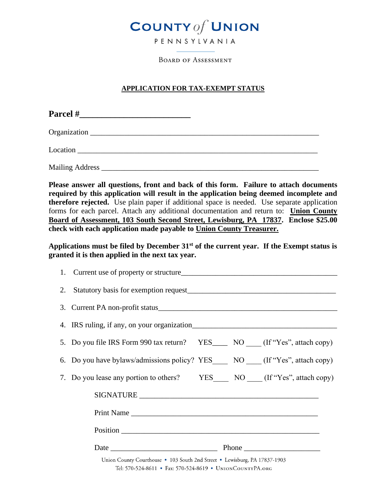

**BOARD OF ASSESSMENT** 

## **APPLICATION FOR TAX-EXEMPT STATUS**

| Location |  |
|----------|--|
|          |  |

**Please answer all questions, front and back of this form. Failure to attach documents required by this application will result in the application being deemed incomplete and therefore rejected.** Use plain paper if additional space is needed. Use separate application forms for each parcel. Attach any additional documentation and return to: **Union County Board of Assessment, 103 South Second Street, Lewisburg, PA 17837. Enclose \$25.00 check with each application made payable to Union County Treasurer.**

**Applications must be filed by December 31st of the current year. If the Exempt status is granted it is then applied in the next tax year.**

| 5. Do you file IRS Form 990 tax return? YES______ NO _____ (If "Yes", attach copy)                                                     |
|----------------------------------------------------------------------------------------------------------------------------------------|
| 6. Do you have bylaws/admissions policy? YES NO (If "Yes", attach copy)                                                                |
| 7. Do you lease any portion to others? YES NO (If "Yes", attach copy)                                                                  |
|                                                                                                                                        |
|                                                                                                                                        |
|                                                                                                                                        |
|                                                                                                                                        |
| Union County Courthouse • 103 South 2nd Street • Lewisburg, PA 17837-1903<br>Tel: 570-524-8611 • Fax: 570-524-8619 • UNIONCOUNTYPA.ORG |
|                                                                                                                                        |